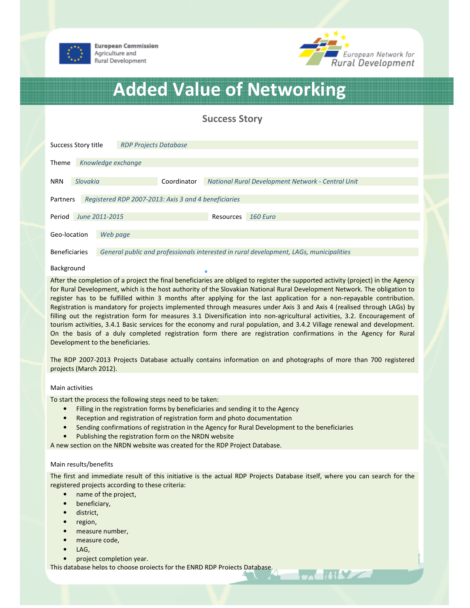



# Added Value of Networking

Success Story

| Success Story title                                              |                | <b>RDP Projects Database</b>                                                           |             |                                                   |           |                 |  |
|------------------------------------------------------------------|----------------|----------------------------------------------------------------------------------------|-------------|---------------------------------------------------|-----------|-----------------|--|
| <b>Theme</b>                                                     |                | Knowledge exchange                                                                     |             |                                                   |           |                 |  |
| <b>NRN</b>                                                       | Slovakia       |                                                                                        | Coordinator | National Rural Development Network - Central Unit |           |                 |  |
| Registered RDP 2007-2013: Axis 3 and 4 beneficiaries<br>Partners |                |                                                                                        |             |                                                   |           |                 |  |
| Period                                                           | June 2011-2015 |                                                                                        |             |                                                   | Resources | <b>160 Euro</b> |  |
| Geo-location                                                     |                | Web page                                                                               |             |                                                   |           |                 |  |
| <b>Beneficiaries</b>                                             |                | General public and professionals interested in rural development, LAGs, municipalities |             |                                                   |           |                 |  |

## Background

After the completion of a project the final beneficiaries are obliged to register the supported activity (project) in the Agency for Rural Development, which is the host authority of the Slovakian National Rural Development Network. The obligation to register has to be fulfilled within 3 months after applying for the last application for a non-repayable contribution. Registration is mandatory for projects implemented through measures under Axis 3 and Axis 4 (realised through LAGs) by filling out the registration form for measures 3.1 Diversification into non-agricultural activities, 3.2. Encouragement of tourism activities, 3.4.1 Basic services for the economy and rural population, and 3.4.2 Village renewal and development. On the basis of a duly completed registration form there are registration confirmations in the Agency for Rural Development to the beneficiaries.

The RDP 2007-2013 Projects Database actually contains information on and photographs of more than 700 registered projects (March 2012).

## Main activities

To start the process the following steps need to be taken:

- Filling in the registration forms by beneficiaries and sending it to the Agency
- Reception and registration of registration form and photo documentation
- Sending confirmations of registration in the Agency for Rural Development to the beneficiaries
- Publishing the registration form on the NRDN website

A new section on the NRDN website was created for the RDP Project Database.

### Main results/benefits

The first and immediate result of this initiative is the actual RDP Projects Database itself, where you can search for the registered projects according to these criteria:

- name of the project,
- beneficiary,
- district,
- region,
- measure number,
- measure code,
- LAG,
- project completion year.

This database helps to choose projects for the ENRD RDP Projects Database.